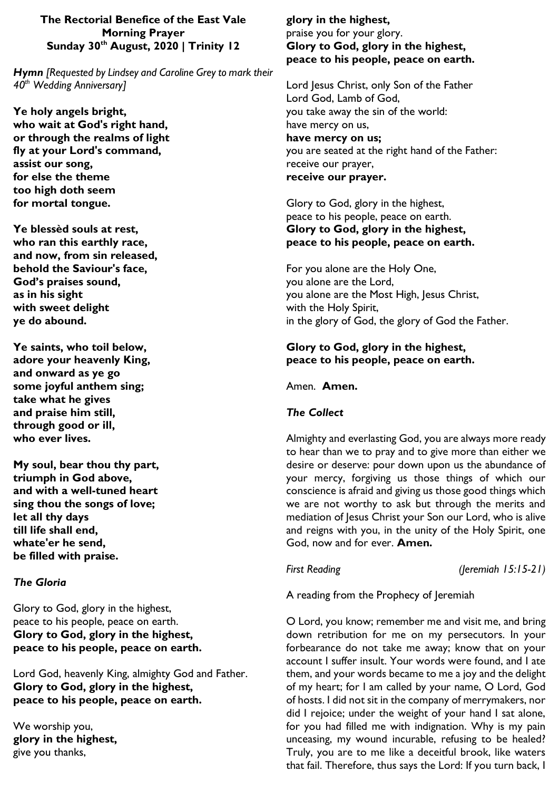### **The Rectorial Benefice of the East Vale Morning Prayer Sunday 30th August, 2020 | Trinity 12**

*Hymn [Requested by Lindsey and Caroline Grey to mark their 40th Wedding Anniversary]*

**Ye holy angels bright, who wait at God's right hand, or through the realms of light fly at your Lord's command, assist our song, for else the theme too high doth seem for mortal tongue.**

**Ye blessèd souls at rest, who ran this earthly race, and now, from sin released, behold the Saviour's face, God's praises sound, as in his sight with sweet delight ye do abound.**

**Ye saints, who toil below, adore your heavenly King, and onward as ye go some joyful anthem sing; take what he gives and praise him still, through good or ill, who ever lives.**

**My soul, bear thou thy part, triumph in God above, and with a well-tuned heart sing thou the songs of love; let all thy days till life shall end, whate'er he send, be filled with praise.**

## *The Gloria*

Glory to God, glory in the highest, peace to his people, peace on earth. **Glory to God, glory in the highest, peace to his people, peace on earth.**

Lord God, heavenly King, almighty God and Father. **Glory to God, glory in the highest, peace to his people, peace on earth.**

We worship you, **glory in the highest,** give you thanks,

**glory in the highest,** praise you for your glory. **Glory to God, glory in the highest, peace to his people, peace on earth.**

Lord Jesus Christ, only Son of the Father Lord God, Lamb of God, you take away the sin of the world: have mercy on us, **have mercy on us;** you are seated at the right hand of the Father: receive our prayer, **receive our prayer.**

Glory to God, glory in the highest, peace to his people, peace on earth. **Glory to God, glory in the highest, peace to his people, peace on earth.**

For you alone are the Holy One, you alone are the Lord, you alone are the Most High, Jesus Christ, with the Holy Spirit, in the glory of God, the glory of God the Father.

## **Glory to God, glory in the highest, peace to his people, peace on earth.**

Amen. **Amen.**

## *The Collect*

Almighty and everlasting God, you are always more ready to hear than we to pray and to give more than either we desire or deserve: pour down upon us the abundance of your mercy, forgiving us those things of which our conscience is afraid and giving us those good things which we are not worthy to ask but through the merits and mediation of Jesus Christ your Son our Lord, who is alive and reigns with you, in the unity of the Holy Spirit, one God, now and for ever. **Amen.**

*First Reading (Jeremiah 15:15-21)*

A reading from the Prophecy of Jeremiah

O Lord, you know; remember me and visit me, and bring down retribution for me on my persecutors. In your forbearance do not take me away; know that on your account I suffer insult. Your words were found, and I ate them, and your words became to me a joy and the delight of my heart; for I am called by your name, O Lord, God of hosts. I did not sit in the company of merrymakers, nor did I rejoice; under the weight of your hand I sat alone, for you had filled me with indignation. Why is my pain unceasing, my wound incurable, refusing to be healed? Truly, you are to me like a deceitful brook, like waters that fail. Therefore, thus says the Lord: If you turn back, I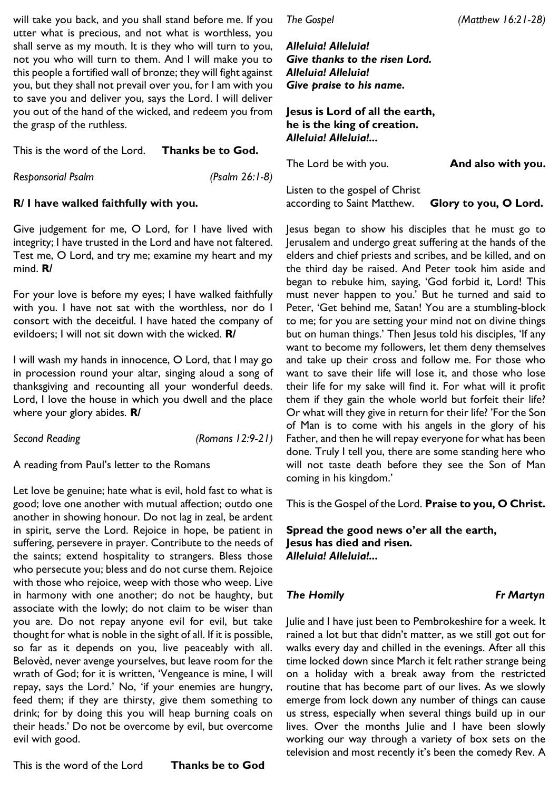will take you back, and you shall stand before me. If you utter what is precious, and not what is worthless, you shall serve as my mouth. It is they who will turn to you, not you who will turn to them. And I will make you to this people a fortified wall of bronze; they will fight against you, but they shall not prevail over you, for I am with you to save you and deliver you, says the Lord. I will deliver you out of the hand of the wicked, and redeem you from the grasp of the ruthless.

This is the word of the Lord. **Thanks be to God.**

*Responsorial Psalm (Psalm 26:1-8)*

## **R/ I have walked faithfully with you.**

Give judgement for me, O Lord, for I have lived with integrity; I have trusted in the Lord and have not faltered. Test me, O Lord, and try me; examine my heart and my mind. **R/**

For your love is before my eyes; I have walked faithfully with you. I have not sat with the worthless, nor do I consort with the deceitful. I have hated the company of evildoers; I will not sit down with the wicked. **R/**

I will wash my hands in innocence, O Lord, that I may go in procession round your altar, singing aloud a song of thanksgiving and recounting all your wonderful deeds. Lord, I love the house in which you dwell and the place where your glory abides. **R/**

*Second Reading (Romans 12:9-21)*

A reading from Paul's letter to the Romans

Let love be genuine; hate what is evil, hold fast to what is good; love one another with mutual affection; outdo one another in showing honour. Do not lag in zeal, be ardent in spirit, serve the Lord. Rejoice in hope, be patient in suffering, persevere in prayer. Contribute to the needs of the saints; extend hospitality to strangers. Bless those who persecute you; bless and do not curse them. Rejoice with those who rejoice, weep with those who weep. Live in harmony with one another; do not be haughty, but associate with the lowly; do not claim to be wiser than you are. Do not repay anyone evil for evil, but take thought for what is noble in the sight of all. If it is possible, so far as it depends on you, live peaceably with all. Belovèd, never avenge yourselves, but leave room for the wrath of God; for it is written, 'Vengeance is mine, I will repay, says the Lord.' No, 'if your enemies are hungry, feed them; if they are thirsty, give them something to drink; for by doing this you will heap burning coals on their heads.' Do not be overcome by evil, but overcome evil with good.

This is the word of the Lord **Thanks be to God**

*Alleluia! Alleluia! Give thanks to the risen Lord. Alleluia! Alleluia! Give praise to his name.*

**Jesus is Lord of all the earth, he is the king of creation.**  *Alleluia! Alleluia!...* 

| The Lord be with you.                                                               | And also with you. |
|-------------------------------------------------------------------------------------|--------------------|
| Listen to the gospel of Christ<br>according to Saint Matthew. Glory to you, O Lord. |                    |

Jesus began to show his disciples that he must go to Jerusalem and undergo great suffering at the hands of the elders and chief priests and scribes, and be killed, and on the third day be raised. And Peter took him aside and began to rebuke him, saying, 'God forbid it, Lord! This must never happen to you.' But he turned and said to Peter, 'Get behind me, Satan! You are a stumbling-block to me; for you are setting your mind not on divine things but on human things.' Then Jesus told his disciples, 'If any want to become my followers, let them deny themselves and take up their cross and follow me. For those who want to save their life will lose it, and those who lose their life for my sake will find it. For what will it profit them if they gain the whole world but forfeit their life? Or what will they give in return for their life? 'For the Son of Man is to come with his angels in the glory of his Father, and then he will repay everyone for what has been done. Truly I tell you, there are some standing here who will not taste death before they see the Son of Man coming in his kingdom.'

This is the Gospel of the Lord. **Praise to you, O Christ.**

## **Spread the good news o'er all the earth, Jesus has died and risen.**  *Alleluia! Alleluia!...*

## *The Homily Fr Martyn*

Julie and I have just been to Pembrokeshire for a week. It rained a lot but that didn't matter, as we still got out for walks every day and chilled in the evenings. After all this time locked down since March it felt rather strange being on a holiday with a break away from the restricted routine that has become part of our lives. As we slowly emerge from lock down any number of things can cause us stress, especially when several things build up in our lives. Over the months Julie and I have been slowly working our way through a variety of box sets on the television and most recently it's been the comedy Rev. A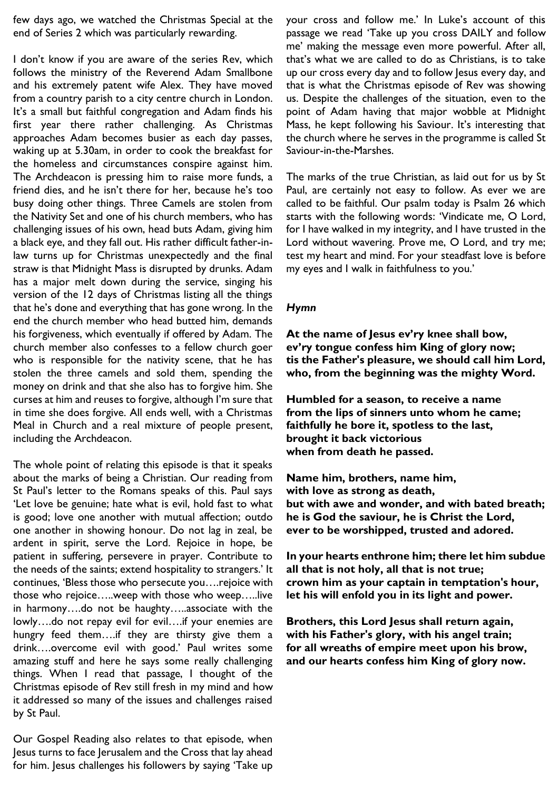few days ago, we watched the Christmas Special at the end of Series 2 which was particularly rewarding.

I don't know if you are aware of the series Rev, which follows the ministry of the Reverend Adam Smallbone and his extremely patent wife Alex. They have moved from a country parish to a city centre church in London. It's a small but faithful congregation and Adam finds his first year there rather challenging. As Christmas approaches Adam becomes busier as each day passes, waking up at 5.30am, in order to cook the breakfast for the homeless and circumstances conspire against him. The Archdeacon is pressing him to raise more funds, a friend dies, and he isn't there for her, because he's too busy doing other things. Three Camels are stolen from the Nativity Set and one of his church members, who has challenging issues of his own, head buts Adam, giving him a black eye, and they fall out. His rather difficult father-inlaw turns up for Christmas unexpectedly and the final straw is that Midnight Mass is disrupted by drunks. Adam has a major melt down during the service, singing his version of the 12 days of Christmas listing all the things that he's done and everything that has gone wrong. In the end the church member who head butted him, demands his forgiveness, which eventually if offered by Adam. The church member also confesses to a fellow church goer who is responsible for the nativity scene, that he has stolen the three camels and sold them, spending the money on drink and that she also has to forgive him. She curses at him and reuses to forgive, although I'm sure that in time she does forgive. All ends well, with a Christmas Meal in Church and a real mixture of people present, including the Archdeacon.

The whole point of relating this episode is that it speaks about the marks of being a Christian. Our reading from St Paul's letter to the Romans speaks of this. Paul says 'Let love be genuine; hate what is evil, hold fast to what is good; love one another with mutual affection; outdo one another in showing honour. Do not lag in zeal, be ardent in spirit, serve the Lord. Rejoice in hope, be patient in suffering, persevere in prayer. Contribute to the needs of the saints; extend hospitality to strangers.' It continues, 'Bless those who persecute you….rejoice with those who rejoice…..weep with those who weep…..live in harmony….do not be haughty…..associate with the lowly….do not repay evil for evil….if your enemies are hungry feed them….if they are thirsty give them a drink….overcome evil with good.' Paul writes some amazing stuff and here he says some really challenging things. When I read that passage, I thought of the Christmas episode of Rev still fresh in my mind and how it addressed so many of the issues and challenges raised by St Paul.

Our Gospel Reading also relates to that episode, when Jesus turns to face Jerusalem and the Cross that lay ahead for him. Jesus challenges his followers by saying 'Take up

your cross and follow me.' In Luke's account of this passage we read 'Take up you cross DAILY and follow me' making the message even more powerful. After all, that's what we are called to do as Christians, is to take up our cross every day and to follow Jesus every day, and that is what the Christmas episode of Rev was showing us. Despite the challenges of the situation, even to the point of Adam having that major wobble at Midnight Mass, he kept following his Saviour. It's interesting that the church where he serves in the programme is called St Saviour-in-the-Marshes.

The marks of the true Christian, as laid out for us by St Paul, are certainly not easy to follow. As ever we are called to be faithful. Our psalm today is Psalm 26 which starts with the following words: 'Vindicate me, O Lord, for I have walked in my integrity, and I have trusted in the Lord without wavering. Prove me, O Lord, and try me; test my heart and mind. For your steadfast love is before my eyes and I walk in faithfulness to you.'

#### *Hymn*

**At the name of Jesus ev'ry knee shall bow, ev'ry tongue confess him King of glory now; tis the Father's pleasure, we should call him Lord, who, from the beginning was the mighty Word.**

**Humbled for a season, to receive a name from the lips of sinners unto whom he came; faithfully he bore it, spotless to the last, brought it back victorious when from death he passed.**

**Name him, brothers, name him, with love as strong as death, but with awe and wonder, and with bated breath; he is God the saviour, he is Christ the Lord, ever to be worshipped, trusted and adored.**

**In your hearts enthrone him; there let him subdue all that is not holy, all that is not true; crown him as your captain in temptation's hour, let his will enfold you in its light and power.**

**Brothers, this Lord Jesus shall return again, with his Father's glory, with his angel train; for all wreaths of empire meet upon his brow, and our hearts confess him King of glory now.**